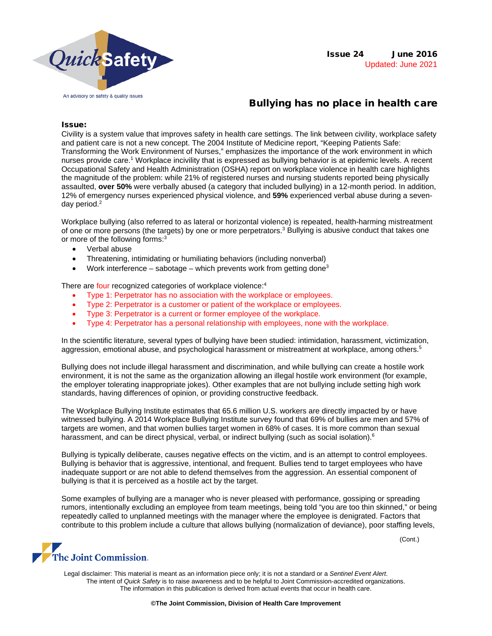

# Bullying has no place in health care

### Issue:

Civility is a system value that improves safety in health care settings. The link between civility, workplace safety and patient care is not a new concept. The 2004 Institute of Medicine report, "Keeping Patients Safe: Transforming the Work Environment of Nurses," emphasizes the importance of the work environment in which nurses provide care. <sup>1</sup> Workplace incivility that is expressed as bullying behavior is at epidemic levels. A recent Occupational Safety and Health Administration (OSHA) report on workplace violence in health care highlights the magnitude of the problem: while 21% of registered nurses and nursing students reported being physically assaulted, **over 50%** were verbally abused (a category that included bullying) in a 12-month period. In addition, 12% of emergency nurses experienced physical violence, and **59%** experienced verbal abuse during a sevenday period.2

Workplace bullying (also referred to as lateral or horizontal violence) is repeated, health-harming mistreatment of one or more persons (the targets) by one or more perpetrators.<sup>3</sup> Bullying is abusive conduct that takes one or more of the following forms:<sup>3</sup>

- Verbal abuse
- Threatening, intimidating or humiliating behaviors (including nonverbal)
- Work interference sabotage which prevents work from getting done<sup>3</sup>

There are four recognized categories of workplace violence:<sup>4</sup>

- Type 1: Perpetrator has no association with the workplace or employees.
- Type 2: Perpetrator is a customer or patient of the workplace or employees.
- Type 3: Perpetrator is a current or former employee of the workplace.
- Type 4: Perpetrator has a personal relationship with employees, none with the workplace.

In the scientific literature, several types of bullying have been studied: intimidation, harassment, victimization, aggression, emotional abuse, and psychological harassment or mistreatment at workplace, among others.<sup>5</sup>

Bullying does not include illegal harassment and discrimination, and while bullying can create a hostile work environment, it is not the same as the organization allowing an illegal hostile work environment (for example, the employer tolerating inappropriate jokes). Other examples that are not bullying include setting high work standards, having differences of opinion, or providing constructive feedback.

The Workplace Bullying Institute estimates that 65.6 million U.S. workers are directly impacted by or have witnessed bullying. A 2014 Workplace Bullying Institute survey found that 69% of bullies are men and 57% of targets are women, and that women bullies target women in 68% of cases. It is more common than sexual harassment, and can be direct physical, verbal, or indirect bullying (such as social isolation).<sup>6</sup>

Bullying is typically deliberate, causes negative effects on the victim, and is an attempt to control employees. Bullying is behavior that is aggressive, intentional, and frequent. Bullies tend to target employees who have inadequate support or are not able to defend themselves from the aggression. An essential component of bullying is that it is perceived as a hostile act by the target.

Some examples of bullying are a manager who is never pleased with performance, gossiping or spreading rumors, intentionally excluding an employee from team meetings, being told "you are too thin skinned," or being repeatedly called to unplanned meetings with the manager where the employee is denigrated. Factors that contribute to this problem include a culture that allows bullying (normalization of deviance), poor staffing levels,

(Cont.)

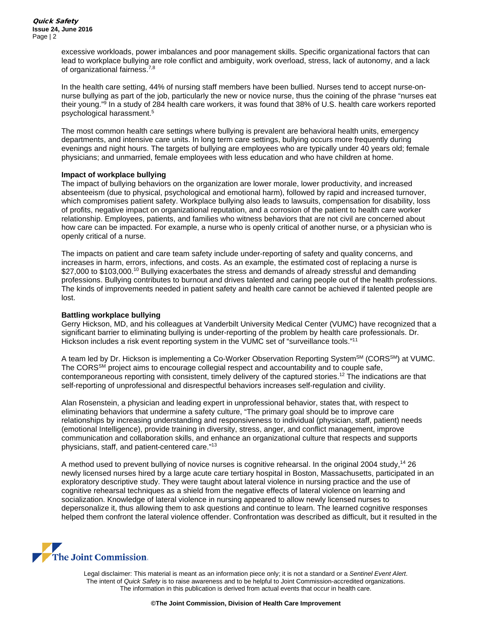excessive workloads, power imbalances and poor management skills. Specific organizational factors that can lead to workplace bullying are role conflict and ambiguity, work overload, stress, lack of autonomy, and a lack of organizational fairness.7,8

In the health care setting, 44% of nursing staff members have been bullied. Nurses tend to accept nurse-onnurse bullying as part of the job, particularly the new or novice nurse, thus the coining of the phrase "nurses eat their young." <sup>9</sup> In a study of 284 health care workers, it was found that 38% of U.S. health care workers reported psychological harassment.5

The most common health care settings where bullying is prevalent are behavioral health units, emergency departments, and intensive care units. In long term care settings, bullying occurs more frequently during evenings and night hours. The targets of bullying are employees who are typically under 40 years old; female physicians; and unmarried, female employees with less education and who have children at home.

#### **Impact of workplace bullying**

The impact of bullying behaviors on the organization are lower morale, lower productivity, and increased absenteeism (due to physical, psychological and emotional harm), followed by rapid and increased turnover, which compromises patient safety. Workplace bullying also leads to lawsuits, compensation for disability, loss of profits, negative impact on organizational reputation, and a corrosion of the patient to health care worker relationship. Employees, patients, and families who witness behaviors that are not civil are concerned about how care can be impacted. For example, a nurse who is openly critical of another nurse, or a physician who is openly critical of a nurse.

The impacts on patient and care team safety include under-reporting of safety and quality concerns, and increases in harm, errors, infections, and costs. As an example, the estimated cost of replacing a nurse is \$27,000 to \$103,000.<sup>10</sup> Bullying exacerbates the stress and demands of already stressful and demanding professions. Bullying contributes to burnout and drives talented and caring people out of the health professions. The kinds of improvements needed in patient safety and health care cannot be achieved if talented people are lost.

### **Battling workplace bullying**

Gerry Hickson, MD, and his colleagues at Vanderbilt University Medical Center (VUMC) have recognized that a significant barrier to eliminating bullying is under-reporting of the problem by health care professionals. Dr. Hickson includes a risk event reporting system in the VUMC set of "surveillance tools."<sup>11</sup>

A team led by Dr. Hickson is implementing a Co-Worker Observation Reporting System<sup>SM</sup> (CORS<sup>SM</sup>) at VUMC. The CORS<sup>SM</sup> project aims to encourage collegial respect and accountability and to couple safe, contemporaneous reporting with consistent, timely delivery of the captured stories.12 The indications are that self-reporting of unprofessional and disrespectful behaviors increases self-regulation and civility.

Alan Rosenstein, a physician and leading expert in unprofessional behavior, states that, with respect to eliminating behaviors that undermine a safety culture, "The primary goal should be to improve care relationships by increasing understanding and responsiveness to individual (physician, staff, patient) needs (emotional Intelligence), provide training in diversity, stress, anger, and conflict management, improve communication and collaboration skills, and enhance an organizational culture that respects and supports physicians, staff, and patient-centered care."13

A method used to prevent bullying of novice nurses is cognitive rehearsal. In the original 2004 study,14 26 newly licensed nurses hired by a large acute care tertiary hospital in Boston, Massachusetts, participated in an exploratory descriptive study. They were taught about lateral violence in nursing practice and the use of cognitive rehearsal techniques as a shield from the negative effects of lateral violence on learning and socialization. Knowledge of lateral violence in nursing appeared to allow newly licensed nurses to depersonalize it, thus allowing them to ask questions and continue to learn. The learned cognitive responses helped them confront the lateral violence offender. Confrontation was described as difficult, but it resulted in the

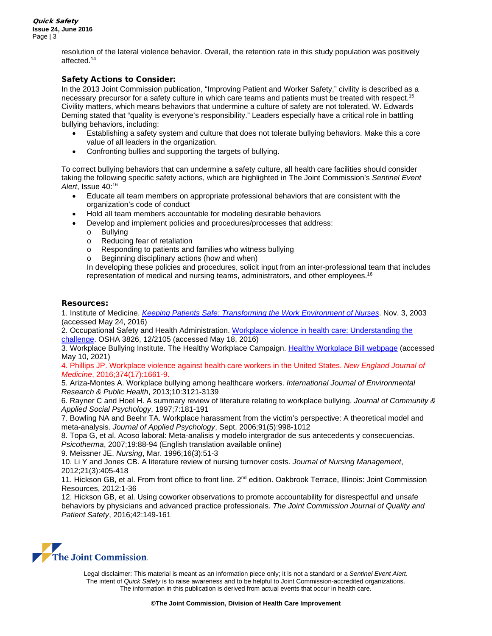resolution of the lateral violence behavior. Overall, the retention rate in this study population was positively affected.14

# Safety Actions to Consider:

In the 2013 Joint Commission publication, "Improving Patient and Worker Safety," civility is described as a necessary precursor for a safety culture in which care teams and patients must be treated with respect.15 Civility matters, which means behaviors that undermine a culture of safety are not tolerated. W. Edwards Deming stated that "quality is everyone's responsibility." Leaders especially have a critical role in battling bullying behaviors, including:

- Establishing a safety system and culture that does not tolerate bullying behaviors. Make this a core value of all leaders in the organization.
- Confronting bullies and supporting the targets of bullying.

To correct bullying behaviors that can undermine a safety culture, all health care facilities should consider taking the following specific safety actions, which are highlighted in The Joint Commission's *Sentinel Event Alert*, Issue 40: 16

- Educate all team members on appropriate professional behaviors that are consistent with the organization's code of conduct
- Hold all team members accountable for modeling desirable behaviors
- Develop and implement policies and procedures/processes that address:
	- o Bullying<br>o Reducin
	- o Reducing fear of retaliation<br>o Responding to patients and
	- o Responding to patients and families who witness bullying<br>o Beginning disciplinary actions (how and when)
	- Beginning disciplinary actions (how and when)

In developing these policies and procedures, solicit input from an inter-professional team that includes representation of medical and nursing teams, administrators, and other employees. 16

## Resources:

1. Institute of Medicine. *[Keeping Patients Safe: Transforming the Work Environment of Nurses](http://www.nationalacademies.org/hmd/Reports/2003/Keeping-Patients-Safe-Transforming-the-Work-Environment-of-Nurses.aspx)*. Nov. 3, 2003 (accessed May 24, 2016)

2. Occupational Safety and Health Administration. [Workplace violence in health care: Understanding the](https://www.osha.gov/sites/default/files/OSHA3826.pdf)  [challenge.](https://www.osha.gov/sites/default/files/OSHA3826.pdf) OSHA 3826, 12/2105 (accessed May 18, 2016)

3. Workplace Bullying Institute. The Healthy Workplace Campaign. [Healthy Workplace Bill webpage](https://healthyworkplacebill.org/) (accessed May 10, 2021)

#### 4. Phillips JP. Workplace violence against health care workers in the United States. *New England Journal of Medicine*, 2016;374(17):1661-9.

5. Ariza-Montes A. Workplace bullying among healthcare workers. *International Journal of Environmental Research & Public Health*, 2013;10:3121-3139

6. Rayner C and Hoel H. A summary review of literature relating to workplace bullying. *Journal of Community & Applied Social Psychology*, 1997;7:181-191

7. Bowling NA and Beehr TA. Workplace harassment from the victim's perspective: A theoretical model and meta-analysis. *Journal of Applied Psychology*, Sept. 2006;91(5):998-1012

8. Topa G, et al. Acoso laboral: Meta-analisis y modelo intergrador de sus antecedents y consecuencias. *Psicotherma*, 2007;19:88-94 (English translation available online)

9. Meissner JE. *Nursing*, Mar. 1996;16(3):51-3

10. Li Y and Jones CB. A literature review of nursing turnover costs. *Journal of Nursing Management*, 2012;21(3):405-418

11. Hickson GB, et al. From front office to front line. 2<sup>nd</sup> edition. Oakbrook Terrace, Illinois: Joint Commission Resources, 2012:1-36

12. Hickson GB, et al. Using coworker observations to promote accountability for disrespectful and unsafe behaviors by physicians and advanced practice professionals. *The Joint Commission Journal of Quality and Patient Safety*, 2016;42:149-161